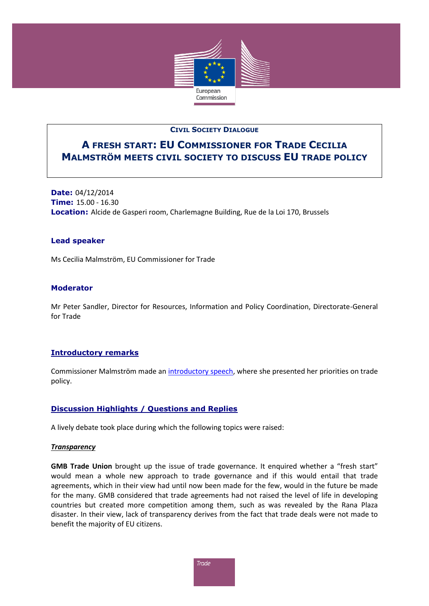

## **CIVIL SOCIETY DIALOGUE**

# **A FRESH START: EU COMMISSIONER FOR TRADE CECILIA MALMSTRÖM MEETS CIVIL SOCIETY TO DISCUSS EU TRADE POLICY**

**Date:** 04/12/2014 **Time:** 15.00 - 16.30 **Location:** Alcide de Gasperi room, Charlemagne Building, Rue de la Loi 170, Brussels

## **Lead speaker**

Ms Cecilia Malmström, EU Commissioner for Trade

## **Moderator**

Mr Peter Sandler, Director for Resources, Information and Policy Coordination, Directorate-General for Trade

## **Introductory remarks**

Commissioner Malmström made an [introductory speech,](http://trade.ec.europa.eu/doclib/docs/2014/december/tradoc_152938.pdf) where she presented her priorities on trade policy.

## **Discussion Highlights / Questions and Replies**

A lively debate took place during which the following topics were raised:

#### *Transparency*

**GMB Trade Union** brought up the issue of trade governance. It enquired whether a "fresh start" would mean a whole new approach to trade governance and if this would entail that trade agreements, which in their view had until now been made for the few, would in the future be made for the many. GMB considered that trade agreements had not raised the level of life in developing countries but created more competition among them, such as was revealed by the Rana Plaza disaster. In their view, lack of transparency derives from the fact that trade deals were not made to benefit the majority of EU citizens.

**Trade**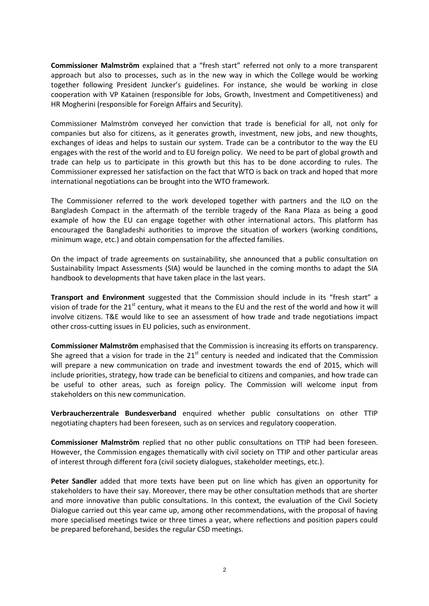**Commissioner Malmström** explained that a "fresh start" referred not only to a more transparent approach but also to processes, such as in the new way in which the College would be working together following President Juncker's guidelines. For instance, she would be working in close cooperation with VP Katainen (responsible for Jobs, Growth, Investment and Competitiveness) and HR Mogherini (responsible for Foreign Affairs and Security).

Commissioner Malmström conveyed her conviction that trade is beneficial for all, not only for companies but also for citizens, as it generates growth, investment, new jobs, and new thoughts, exchanges of ideas and helps to sustain our system. Trade can be a contributor to the way the EU engages with the rest of the world and to EU foreign policy. We need to be part of global growth and trade can help us to participate in this growth but this has to be done according to rules. The Commissioner expressed her satisfaction on the fact that WTO is back on track and hoped that more international negotiations can be brought into the WTO framework.

The Commissioner referred to the work developed together with partners and the ILO on the Bangladesh Compact in the aftermath of the terrible tragedy of the Rana Plaza as being a good example of how the EU can engage together with other international actors. This platform has encouraged the Bangladeshi authorities to improve the situation of workers (working conditions, minimum wage, etc.) and obtain compensation for the affected families.

On the impact of trade agreements on sustainability, she announced that a public consultation on Sustainability Impact Assessments (SIA) would be launched in the coming months to adapt the SIA handbook to developments that have taken place in the last years.

**Transport and Environment** suggested that the Commission should include in its "fresh start" a vision of trade for the  $21<sup>st</sup>$  century, what it means to the EU and the rest of the world and how it will involve citizens. T&E would like to see an assessment of how trade and trade negotiations impact other cross-cutting issues in EU policies, such as environment.

**Commissioner Malmström** emphasised that the Commission is increasing its efforts on transparency. She agreed that a vision for trade in the  $21<sup>st</sup>$  century is needed and indicated that the Commission will prepare a new communication on trade and investment towards the end of 2015, which will include priorities, strategy, how trade can be beneficial to citizens and companies, and how trade can be useful to other areas, such as foreign policy. The Commission will welcome input from stakeholders on this new communication.

**Verbraucherzentrale Bundesverband** enquired whether public consultations on other TTIP negotiating chapters had been foreseen, such as on services and regulatory cooperation.

**Commissioner Malmström** replied that no other public consultations on TTIP had been foreseen. However, the Commission engages thematically with civil society on TTIP and other particular areas of interest through different fora (civil society dialogues, stakeholder meetings, etc.).

**Peter Sandler** added that more texts have been put on line which has given an opportunity for stakeholders to have their say. Moreover, there may be other consultation methods that are shorter and more innovative than public consultations. In this context, the evaluation of the Civil Society Dialogue carried out this year came up, among other recommendations, with the proposal of having more specialised meetings twice or three times a year, where reflections and position papers could be prepared beforehand, besides the regular CSD meetings.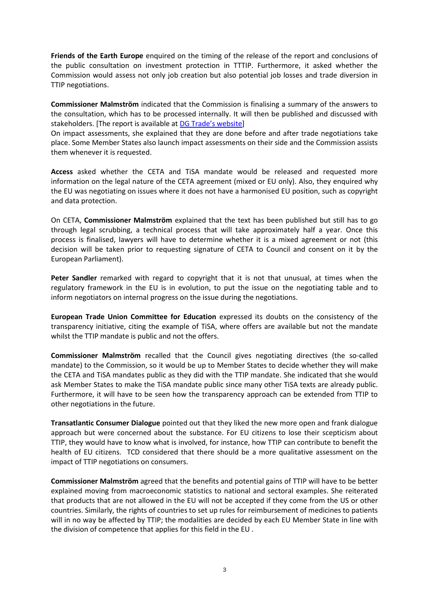**Friends of the Earth Europe** enquired on the timing of the release of the report and conclusions of the public consultation on investment protection in TTTIP. Furthermore, it asked whether the Commission would assess not only job creation but also potential job losses and trade diversion in TTIP negotiations.

**Commissioner Malmström** indicated that the Commission is finalising a summary of the answers to the consultation, which has to be processed internally. It will then be published and discussed with stakeholders. [The report is available at [DG Trade's website](http://trade.ec.europa.eu/doclib/press/index.cfm?id=1234&title=Report-presented-today-Consultation-on-investment-protection-in-EU-US-trade-talks)]

On impact assessments, she explained that they are done before and after trade negotiations take place. Some Member States also launch impact assessments on their side and the Commission assists them whenever it is requested.

**Access** asked whether the CETA and TiSA mandate would be released and requested more information on the legal nature of the CETA agreement (mixed or EU only). Also, they enquired why the EU was negotiating on issues where it does not have a harmonised EU position, such as copyright and data protection.

On CETA, **Commissioner Malmström** explained that the text has been published but still has to go through legal scrubbing, a technical process that will take approximately half a year. Once this process is finalised, lawyers will have to determine whether it is a mixed agreement or not (this decision will be taken prior to requesting signature of CETA to Council and consent on it by the European Parliament).

**Peter Sandler** remarked with regard to copyright that it is not that unusual, at times when the regulatory framework in the EU is in evolution, to put the issue on the negotiating table and to inform negotiators on internal progress on the issue during the negotiations.

**European Trade Union Committee for Education** expressed its doubts on the consistency of the transparency initiative, citing the example of TiSA, where offers are available but not the mandate whilst the TTIP mandate is public and not the offers.

**Commissioner Malmström** recalled that the Council gives negotiating directives (the so-called mandate) to the Commission, so it would be up to Member States to decide whether they will make the CETA and TiSA mandates public as they did with the TTIP mandate. She indicated that she would ask Member States to make the TiSA mandate public since many other TiSA texts are already public. Furthermore, it will have to be seen how the transparency approach can be extended from TTIP to other negotiations in the future.

**Transatlantic Consumer Dialogue** pointed out that they liked the new more open and frank dialogue approach but were concerned about the substance. For EU citizens to lose their scepticism about TTIP, they would have to know what is involved, for instance, how TTIP can contribute to benefit the health of EU citizens. TCD considered that there should be a more qualitative assessment on the impact of TTIP negotiations on consumers.

**Commissioner Malmström** agreed that the benefits and potential gains of TTIP will have to be better explained moving from macroeconomic statistics to national and sectoral examples. She reiterated that products that are not allowed in the EU will not be accepted if they come from the US or other countries. Similarly, the rights of countries to set up rules for reimbursement of medicines to patients will in no way be affected by TTIP; the modalities are decided by each EU Member State in line with the division of competence that applies for this field in the EU .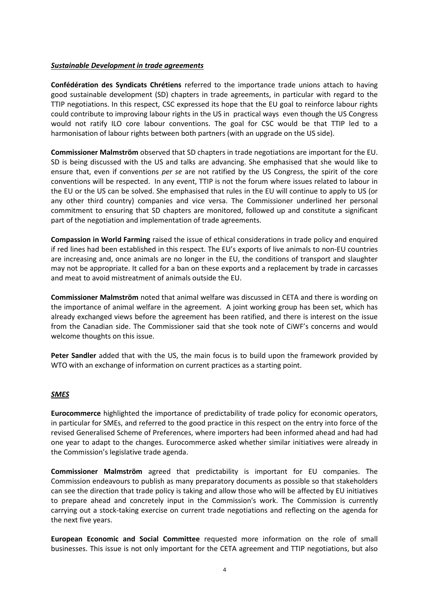## *Sustainable Development in trade agreements*

**Confédération des Syndicats Chrétiens** referred to the importance trade unions attach to having good sustainable development (SD) chapters in trade agreements, in particular with regard to the TTIP negotiations. In this respect, CSC expressed its hope that the EU goal to reinforce labour rights could contribute to improving labour rights in the US in practical ways even though the US Congress would not ratify ILO core labour conventions. The goal for CSC would be that TTIP led to a harmonisation of labour rights between both partners (with an upgrade on the US side).

**Commissioner Malmström** observed that SD chapters in trade negotiations are important for the EU. SD is being discussed with the US and talks are advancing. She emphasised that she would like to ensure that, even if conventions *per se* are not ratified by the US Congress, the spirit of the core conventions will be respected. In any event, TTIP is not the forum where issues related to labour in the EU or the US can be solved. She emphasised that rules in the EU will continue to apply to US (or any other third country) companies and vice versa. The Commissioner underlined her personal commitment to ensuring that SD chapters are monitored, followed up and constitute a significant part of the negotiation and implementation of trade agreements.

**Compassion in World Farming** raised the issue of ethical considerations in trade policy and enquired if red lines had been established in this respect. The EU's exports of live animals to non-EU countries are increasing and, once animals are no longer in the EU, the conditions of transport and slaughter may not be appropriate. It called for a ban on these exports and a replacement by trade in carcasses and meat to avoid mistreatment of animals outside the EU.

**Commissioner Malmström** noted that animal welfare was discussed in CETA and there is wording on the importance of animal welfare in the agreement. A joint working group has been set, which has already exchanged views before the agreement has been ratified, and there is interest on the issue from the Canadian side. The Commissioner said that she took note of CiWF's concerns and would welcome thoughts on this issue.

**Peter Sandler** added that with the US, the main focus is to build upon the framework provided by WTO with an exchange of information on current practices as a starting point.

## *SMES*

**Eurocommerce** highlighted the importance of predictability of trade policy for economic operators, in particular for SMEs, and referred to the good practice in this respect on the entry into force of the revised Generalised Scheme of Preferences, where importers had been informed ahead and had had one year to adapt to the changes. Eurocommerce asked whether similar initiatives were already in the Commission's legislative trade agenda.

**Commissioner Malmström** agreed that predictability is important for EU companies. The Commission endeavours to publish as many preparatory documents as possible so that stakeholders can see the direction that trade policy is taking and allow those who will be affected by EU initiatives to prepare ahead and concretely input in the Commission's work. The Commission is currently carrying out a stock-taking exercise on current trade negotiations and reflecting on the agenda for the next five years.

**European Economic and Social Committee** requested more information on the role of small businesses. This issue is not only important for the CETA agreement and TTIP negotiations, but also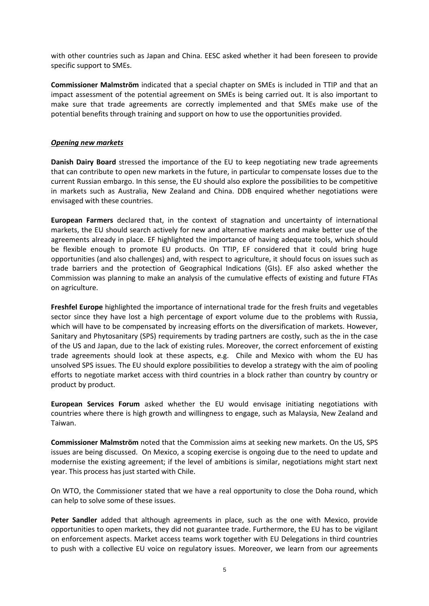with other countries such as Japan and China. EESC asked whether it had been foreseen to provide specific support to SMEs.

**Commissioner Malmström** indicated that a special chapter on SMEs is included in TTIP and that an impact assessment of the potential agreement on SMEs is being carried out. It is also important to make sure that trade agreements are correctly implemented and that SMEs make use of the potential benefits through training and support on how to use the opportunities provided.

## *Opening new markets*

**Danish Dairy Board** stressed the importance of the EU to keep negotiating new trade agreements that can contribute to open new markets in the future, in particular to compensate losses due to the current Russian embargo. In this sense, the EU should also explore the possibilities to be competitive in markets such as Australia, New Zealand and China. DDB enquired whether negotiations were envisaged with these countries.

**European Farmers** declared that, in the context of stagnation and uncertainty of international markets, the EU should search actively for new and alternative markets and make better use of the agreements already in place. EF highlighted the importance of having adequate tools, which should be flexible enough to promote EU products. On TTIP, EF considered that it could bring huge opportunities (and also challenges) and, with respect to agriculture, it should focus on issues such as trade barriers and the protection of Geographical Indications (GIs). EF also asked whether the Commission was planning to make an analysis of the cumulative effects of existing and future FTAs on agriculture.

**Freshfel Europe** highlighted the importance of international trade for the fresh fruits and vegetables sector since they have lost a high percentage of export volume due to the problems with Russia, which will have to be compensated by increasing efforts on the diversification of markets. However, Sanitary and Phytosanitary (SPS) requirements by trading partners are costly, such as the in the case of the US and Japan, due to the lack of existing rules. Moreover, the correct enforcement of existing trade agreements should look at these aspects, e.g. Chile and Mexico with whom the EU has unsolved SPS issues. The EU should explore possibilities to develop a strategy with the aim of pooling efforts to negotiate market access with third countries in a block rather than country by country or product by product.

**European Services Forum** asked whether the EU would envisage initiating negotiations with countries where there is high growth and willingness to engage, such as Malaysia, New Zealand and Taiwan.

**Commissioner Malmström** noted that the Commission aims at seeking new markets. On the US, SPS issues are being discussed. On Mexico, a scoping exercise is ongoing due to the need to update and modernise the existing agreement; if the level of ambitions is similar, negotiations might start next year. This process has just started with Chile.

On WTO, the Commissioner stated that we have a real opportunity to close the Doha round, which can help to solve some of these issues.

**Peter Sandler** added that although agreements in place, such as the one with Mexico, provide opportunities to open markets, they did not guarantee trade. Furthermore, the EU has to be vigilant on enforcement aspects. Market access teams work together with EU Delegations in third countries to push with a collective EU voice on regulatory issues. Moreover, we learn from our agreements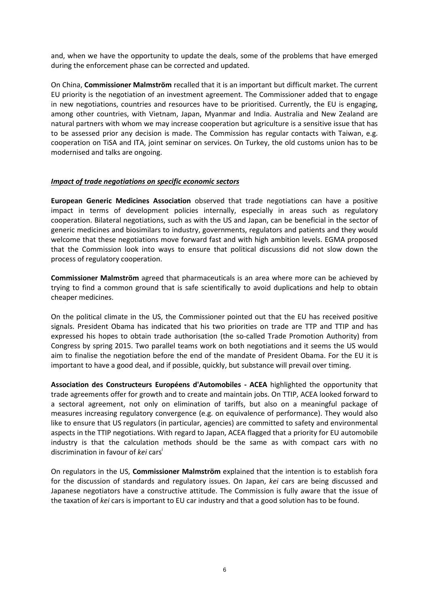and, when we have the opportunity to update the deals, some of the problems that have emerged during the enforcement phase can be corrected and updated.

On China, **Commissioner Malmström** recalled that it is an important but difficult market. The current EU priority is the negotiation of an investment agreement. The Commissioner added that to engage in new negotiations, countries and resources have to be prioritised. Currently, the EU is engaging, among other countries, with Vietnam, Japan, Myanmar and India. Australia and New Zealand are natural partners with whom we may increase cooperation but agriculture is a sensitive issue that has to be assessed prior any decision is made. The Commission has regular contacts with Taiwan, e.g. cooperation on TiSA and ITA, joint seminar on services. On Turkey, the old customs union has to be modernised and talks are ongoing.

# *Impact of trade negotiations on specific economic sectors*

**European Generic Medicines Association** observed that trade negotiations can have a positive impact in terms of development policies internally, especially in areas such as regulatory cooperation. Bilateral negotiations, such as with the US and Japan, can be beneficial in the sector of generic medicines and biosimilars to industry, governments, regulators and patients and they would welcome that these negotiations move forward fast and with high ambition levels. EGMA proposed that the Commission look into ways to ensure that political discussions did not slow down the process of regulatory cooperation.

**Commissioner Malmström** agreed that pharmaceuticals is an area where more can be achieved by trying to find a common ground that is safe scientifically to avoid duplications and help to obtain cheaper medicines.

On the political climate in the US, the Commissioner pointed out that the EU has received positive signals. President Obama has indicated that his two priorities on trade are TTP and TTIP and has expressed his hopes to obtain trade authorisation (the so-called Trade Promotion Authority) from Congress by spring 2015. Two parallel teams work on both negotiations and it seems the US would aim to finalise the negotiation before the end of the mandate of President Obama. For the EU it is important to have a good deal, and if possible, quickly, but substance will prevail over timing.

**Association des Constructeurs Européens d'Automobiles - ACEA** highlighted the opportunity that trade agreements offer for growth and to create and maintain jobs. On TTIP, ACEA looked forward to a sectoral agreement, not only on elimination of tariffs, but also on a meaningful package of measures increasing regulatory convergence (e.g. on equivalence of performance). They would also like to ensure that US regulators (in particular, agencies) are committed to safety and environmental aspects in the TTIP negotiations. With regard to Japan, ACEA flagged that a priority for EU automobile industry is that the calculation methods should be the same as with compact cars with no discrimination in favour of *kei* cars<sup>i</sup>

On regulators in the US, **Commissioner Malmström** explained that the intention is to establish fora for the discussion of standards and regulatory issues. On Japan, *kei* cars are being discussed and Japanese negotiators have a constructive attitude. The Commission is fully aware that the issue of the taxation of *kei* cars is important to EU car industry and that a good solution has to be found.